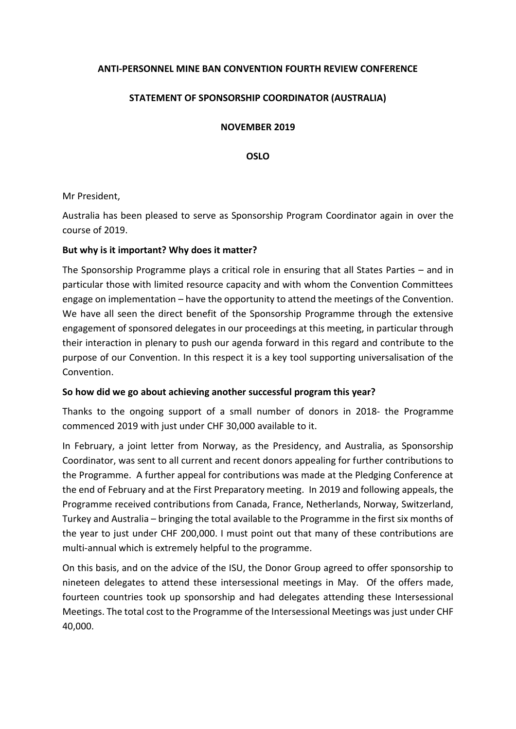## **ANTI-PERSONNEL MINE BAN CONVENTION FOURTH REVIEW CONFERENCE**

## **STATEMENT OF SPONSORSHIP COORDINATOR (AUSTRALIA)**

**NOVEMBER 2019**

**OSLO**

Mr President,

Australia has been pleased to serve as Sponsorship Program Coordinator again in over the course of 2019.

### **But why is it important? Why does it matter?**

The Sponsorship Programme plays a critical role in ensuring that all States Parties – and in particular those with limited resource capacity and with whom the Convention Committees engage on implementation – have the opportunity to attend the meetings of the Convention. We have all seen the direct benefit of the Sponsorship Programme through the extensive engagement of sponsored delegates in our proceedings at this meeting, in particular through their interaction in plenary to push our agenda forward in this regard and contribute to the purpose of our Convention. In this respect it is a key tool supporting universalisation of the Convention.

#### **So how did we go about achieving another successful program this year?**

Thanks to the ongoing support of a small number of donors in 2018- the Programme commenced 2019 with just under CHF 30,000 available to it.

In February, a joint letter from Norway, as the Presidency, and Australia, as Sponsorship Coordinator, was sent to all current and recent donors appealing for further contributions to the Programme. A further appeal for contributions was made at the Pledging Conference at the end of February and at the First Preparatory meeting. In 2019 and following appeals, the Programme received contributions from Canada, France, Netherlands, Norway, Switzerland, Turkey and Australia – bringing the total available to the Programme in the first six months of the year to just under CHF 200,000. I must point out that many of these contributions are multi-annual which is extremely helpful to the programme.

On this basis, and on the advice of the ISU, the Donor Group agreed to offer sponsorship to nineteen delegates to attend these intersessional meetings in May. Of the offers made, fourteen countries took up sponsorship and had delegates attending these Intersessional Meetings. The total cost to the Programme of the Intersessional Meetings was just under CHF 40,000.